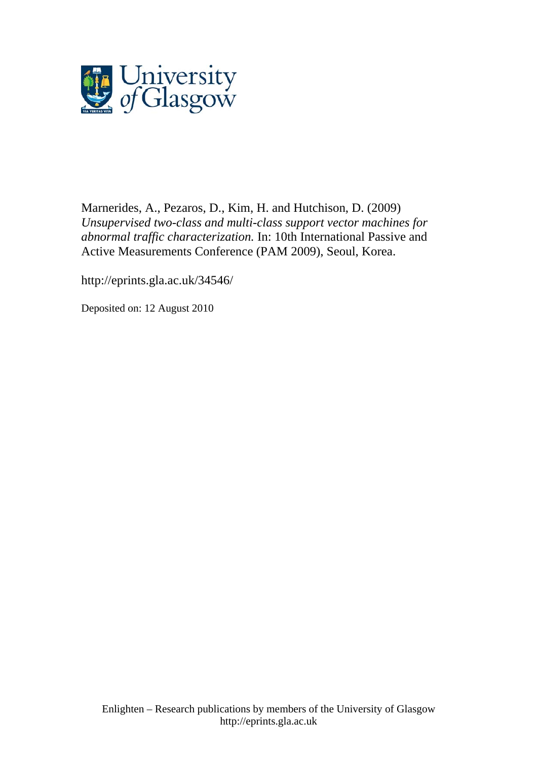

Marnerides, A., [Pezaros, D.](http://eprints.gla.ac.uk/view/author/5079.html), Kim, H. and Hutchison, D. (2009) *Unsupervised two-class and multi-class support vector machines for abnormal traffic characterization.* In: 10th International Passive and Active Measurements Conference (PAM 2009), Seoul, Korea.

http://eprints.gla.ac.uk/34546/

Deposited on: 12 August 2010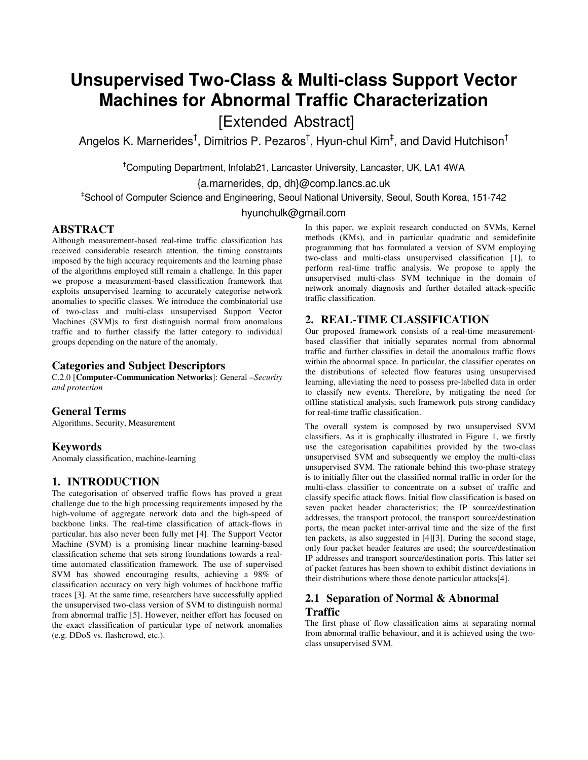# **Unsupervised Two-Class & Multi-class Support Vector Machines for Abnormal Traffic Characterization**

[Extended Abstract]

Angelos K. Marnerides $^\dagger$ , Dimitrios P. Pezaros $^\dagger$ , Hyun-chul Kim $^\ddagger$ , and David Hutchison $^\dagger$ 

†Computing Department, Infolab21, Lancaster University, Lancaster, UK, LA1 4WA

{a.marnerides, dp, dh}@comp.lancs.ac.uk

‡ School of Computer Science and Engineering, Seoul National University, Seoul, South Korea, 151-742

hyunchulk@gmail.com

## **ABSTRACT**

Although measurement-based real-time traffic classification has received considerable research attention, the timing constraints imposed by the high accuracy requirements and the learning phase of the algorithms employed still remain a challenge. In this paper we propose a measurement-based classification framework that exploits unsupervised learning to accurately categorise network anomalies to specific classes. We introduce the combinatorial use of two-class and multi-class unsupervised Support Vector Machines (SVM)s to first distinguish normal from anomalous traffic and to further classify the latter category to individual groups depending on the nature of the anomaly.

### **Categories and Subject Descriptors**

C.2.0 [**Computer-Communication Networks**]: General –*Security and protection* 

## **General Terms**

Algorithms, Security, Measurement

#### **Keywords**

Anomaly classification, machine-learning

## **1. INTRODUCTION**

The categorisation of observed traffic flows has proved a great challenge due to the high processing requirements imposed by the high-volume of aggregate network data and the high-speed of backbone links. The real-time classification of attack-flows in particular, has also never been fully met [4]. The Support Vector Machine (SVM) is a promising linear machine learning-based classification scheme that sets strong foundations towards a realtime automated classification framework. The use of supervised SVM has showed encouraging results, achieving a 98% of classification accuracy on very high volumes of backbone traffic traces [3]. At the same time, researchers have successfully applied the unsupervised two-class version of SVM to distinguish normal from abnormal traffic [5]. However, neither effort has focused on the exact classification of particular type of network anomalies (e.g. DDoS vs. flashcrowd, etc.).

In this paper, we exploit research conducted on SVMs, Kernel methods (KMs), and in particular quadratic and semidefinite programming that has formulated a version of SVM employing two-class and multi-class unsupervised classification [1], to perform real-time traffic analysis. We propose to apply the unsupervised multi-class SVM technique in the domain of network anomaly diagnosis and further detailed attack-specific traffic classification.

#### **2. REAL-TIME CLASSIFICATION**

Our proposed framework consists of a real-time measurementbased classifier that initially separates normal from abnormal traffic and further classifies in detail the anomalous traffic flows within the abnormal space. In particular, the classifier operates on the distributions of selected flow features using unsupervised learning, alleviating the need to possess pre-labelled data in order to classify new events. Therefore, by mitigating the need for offline statistical analysis, such framework puts strong candidacy for real-time traffic classification.

The overall system is composed by two unsupervised SVM classifiers. As it is graphically illustrated in Figure 1, we firstly use the categorisation capabilities provided by the two-class unsupervised SVM and subsequently we employ the multi-class unsupervised SVM. The rationale behind this two-phase strategy is to initially filter out the classified normal traffic in order for the multi-class classifier to concentrate on a subset of traffic and classify specific attack flows. Initial flow classification is based on seven packet header characteristics; the IP source/destination addresses, the transport protocol, the transport source/destination ports, the mean packet inter-arrival time and the size of the first ten packets, as also suggested in [4][3]. During the second stage, only four packet header features are used; the source/destination IP addresses and transport source/destination ports. This latter set of packet features has been shown to exhibit distinct deviations in their distributions where those denote particular attacks[4].

# **2.1 Separation of Normal & Abnormal Traffic**

The first phase of flow classification aims at separating normal from abnormal traffic behaviour, and it is achieved using the twoclass unsupervised SVM.